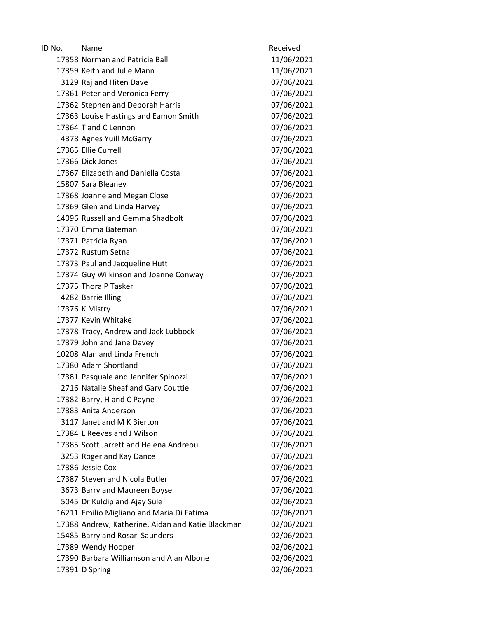| ID No. | Name                                              | Received   |
|--------|---------------------------------------------------|------------|
|        | 17358 Norman and Patricia Ball                    | 11/06/2021 |
|        | 17359 Keith and Julie Mann                        | 11/06/2021 |
|        | 3129 Raj and Hiten Dave                           | 07/06/2021 |
|        | 17361 Peter and Veronica Ferry                    | 07/06/2021 |
|        | 17362 Stephen and Deborah Harris                  | 07/06/2021 |
|        | 17363 Louise Hastings and Eamon Smith             | 07/06/2021 |
|        | 17364 T and C Lennon                              | 07/06/2021 |
|        | 4378 Agnes Yuill McGarry                          | 07/06/2021 |
|        | 17365 Ellie Currell                               | 07/06/2021 |
|        | 17366 Dick Jones                                  | 07/06/2021 |
|        | 17367 Elizabeth and Daniella Costa                | 07/06/2021 |
|        | 15807 Sara Bleaney                                | 07/06/2021 |
|        | 17368 Joanne and Megan Close                      | 07/06/2021 |
|        | 17369 Glen and Linda Harvey                       | 07/06/2021 |
|        | 14096 Russell and Gemma Shadbolt                  | 07/06/2021 |
|        | 17370 Emma Bateman                                | 07/06/2021 |
|        | 17371 Patricia Ryan                               | 07/06/2021 |
|        | 17372 Rustum Setna                                | 07/06/2021 |
|        | 17373 Paul and Jacqueline Hutt                    | 07/06/2021 |
|        | 17374 Guy Wilkinson and Joanne Conway             | 07/06/2021 |
|        | 17375 Thora P Tasker                              | 07/06/2021 |
|        | 4282 Barrie Illing                                | 07/06/2021 |
|        | 17376 K Mistry                                    | 07/06/2021 |
|        | 17377 Kevin Whitake                               | 07/06/2021 |
|        | 17378 Tracy, Andrew and Jack Lubbock              | 07/06/2021 |
|        | 17379 John and Jane Davey                         | 07/06/2021 |
|        | 10208 Alan and Linda French                       | 07/06/2021 |
|        | 17380 Adam Shortland                              | 07/06/2021 |
|        | 17381 Pasquale and Jennifer Spinozzi              | 07/06/2021 |
|        | 2716 Natalie Sheaf and Gary Couttie               | 07/06/2021 |
|        | 17382 Barry, H and C Payne                        | 07/06/2021 |
|        | 17383 Anita Anderson                              | 07/06/2021 |
|        | 3117 Janet and M K Bierton                        | 07/06/2021 |
|        | 17384 L Reeves and J Wilson                       | 07/06/2021 |
|        | 17385 Scott Jarrett and Helena Andreou            | 07/06/2021 |
|        | 3253 Roger and Kay Dance                          | 07/06/2021 |
|        | 17386 Jessie Cox                                  | 07/06/2021 |
|        | 17387 Steven and Nicola Butler                    | 07/06/2021 |
|        | 3673 Barry and Maureen Boyse                      | 07/06/2021 |
|        | 5045 Dr Kuldip and Ajay Sule                      | 02/06/2021 |
|        | 16211 Emilio Migliano and Maria Di Fatima         | 02/06/2021 |
|        | 17388 Andrew, Katherine, Aidan and Katie Blackman | 02/06/2021 |
|        | 15485 Barry and Rosari Saunders                   | 02/06/2021 |
|        | 17389 Wendy Hooper                                | 02/06/2021 |
|        | 17390 Barbara Williamson and Alan Albone          | 02/06/2021 |
|        | 17391 D Spring                                    | 02/06/2021 |